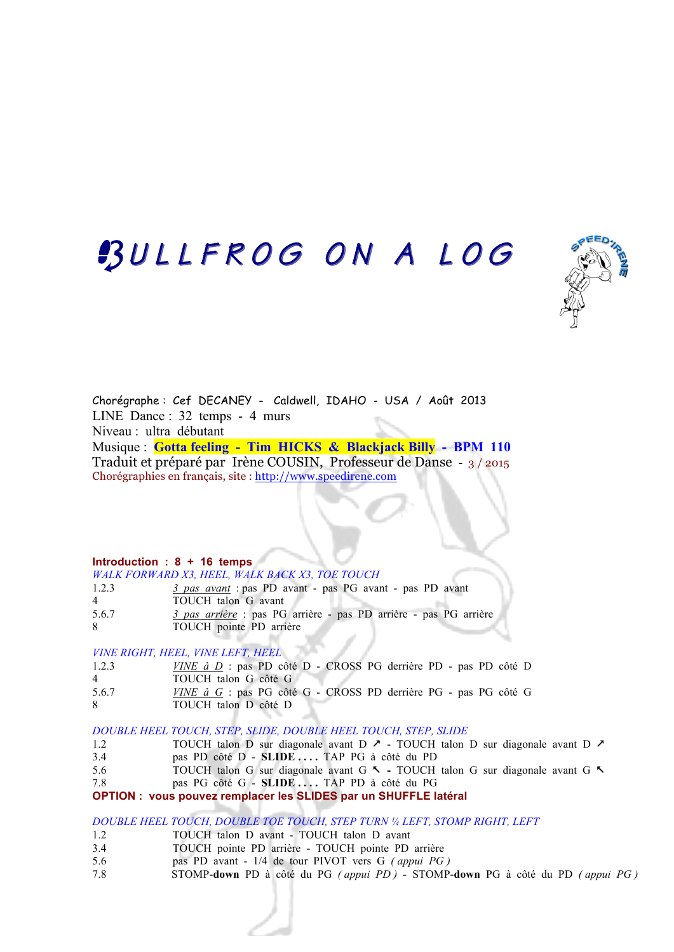## BULLFROG ON A LOG



Chorégraphe : Cef DECANEY - Caldwell, IDAHO - USA / Août 2013 LINE Dance : 32 temps - 4 murs Niveau : ultra débutant Musique : **Gotta feeling - Tim HICKS & Blackjack Billy - BPM 110** Traduit et préparé par Irène COUSIN, Professeur de Danse - 3 / 2015 Chorégraphies en français, site : http://www.speedirene.com

#### **Introduction : 8 + 16 temps**

|       | WALK FORWARD X3, HEEL, WALK BACK X3, TOE TOUCH                   |
|-------|------------------------------------------------------------------|
| 1.2.3 | 3 pas avant : pas PD avant - pas PG avant - pas PD avant         |
| 4     | TOUCH talon G avant                                              |
| 5.6.7 | 3 pas arrière : pas PG arrière - pas PD arrière - pas PG arrière |
| 8.    | TOUCH pointe PD arrière                                          |

*VINE RIGHT, HEEL, VINE LEFT, HEEL*

| 1.2.3 | <i>VINE à D</i> : pas PD côté D - CROSS PG derrière PD - pas PD côté D |
|-------|------------------------------------------------------------------------|
| 4     | TOUCH talon G côté G                                                   |
| 5.6.7 | <i>VINE à G</i> : pas PG côté G - CROSS PD derrière PG - pas PG côté G |
| 8.    | TOUCH talon D côté D                                                   |

*DOUBLE HEEL TOUCH, STEP, SLIDE, DOUBLE HEEL TOUCH, STEP, SLIDE*

- 1.2 TOUCH talon D sur diagonale avant D  $\lambda$  TOUCH talon D sur diagonale avant D  $\lambda$
- 3.4 pas PD côté D **SLIDE . . . .** TAP PG à côté du PD
- 5.6 TOUCH talonG sur diagonale avant G %TOUCH talonG sur diagonale avant G %
- 7.8 pas PG côté G **SLIDE . . . .** TAP PD à côté du PG

**OPTION : vous pouvez remplacer les SLIDES par un SHUFFLE latéral**

*DOUBLE HEEL TOUCH, DOUBLE TOE TOUCH, STEP TURN ¼ LEFT, STOMP RIGHT, LEFT*

- 1.2 TOUCH talon D avant TOUCH talon D avant
- 3.4 TOUCH pointe PD arrière TOUCH pointe PD arrière
- 5.6 pas PD avant 1/4 de tour PIVOT vers G *( appui PG )*
- 7.8 STOMP-**down** PD à côté du PG *( appui PD )* STOMP-**down** PG à côté du PD *( appui PG )*